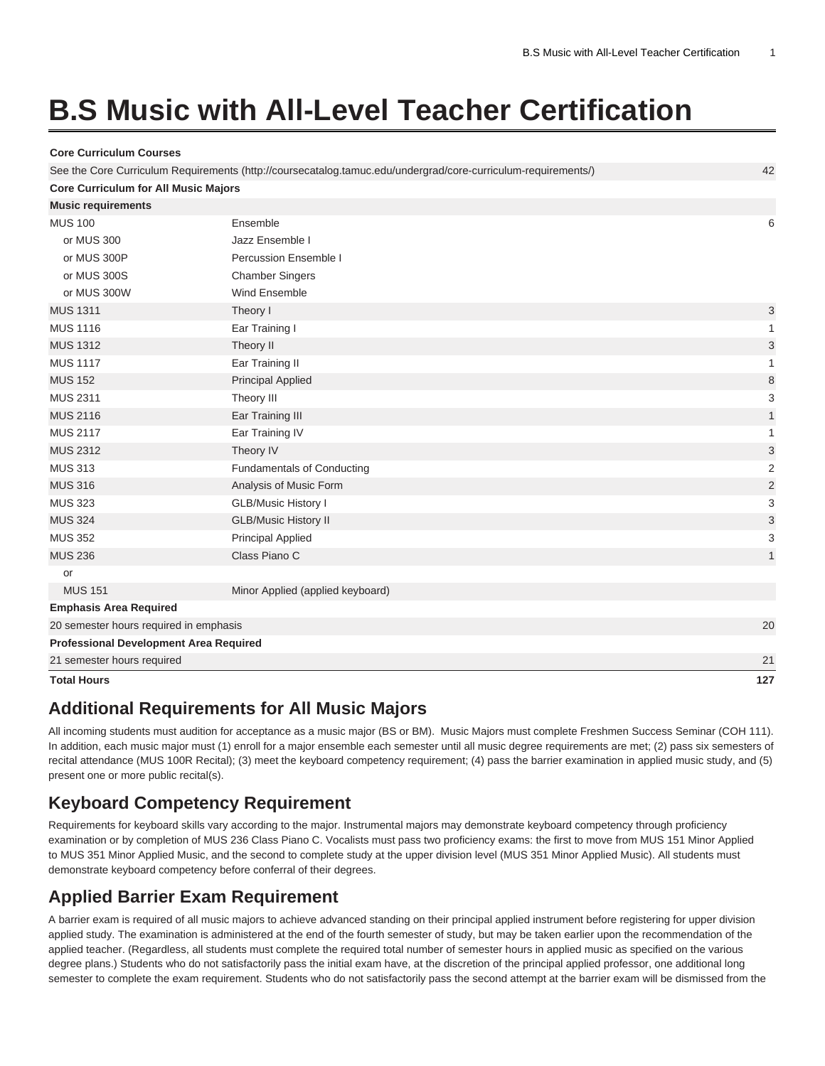# **B.S Music with All-Level Teacher Certification**

**Core Curriculum Courses**

| <b>Total Hours</b>                            |                                                                                                               | 127                     |
|-----------------------------------------------|---------------------------------------------------------------------------------------------------------------|-------------------------|
| 21 semester hours required                    |                                                                                                               | 21                      |
| <b>Professional Development Area Required</b> |                                                                                                               |                         |
| 20 semester hours required in emphasis        |                                                                                                               | 20                      |
| <b>Emphasis Area Required</b>                 |                                                                                                               |                         |
| <b>MUS 151</b>                                | Minor Applied (applied keyboard)                                                                              |                         |
| or                                            |                                                                                                               |                         |
| <b>MUS 236</b>                                | Class Piano C                                                                                                 | $\mathbf{1}$            |
| <b>MUS 352</b>                                | Principal Applied                                                                                             | 3                       |
| <b>MUS 324</b>                                | <b>GLB/Music History II</b>                                                                                   | 3                       |
| <b>MUS 323</b>                                | <b>GLB/Music History I</b>                                                                                    | 3                       |
| <b>MUS 316</b>                                | Analysis of Music Form                                                                                        | $\overline{a}$          |
| <b>MUS 313</b>                                | <b>Fundamentals of Conducting</b>                                                                             | $\overline{\mathbf{c}}$ |
| <b>MUS 2312</b>                               | Theory IV                                                                                                     | 3                       |
| <b>MUS 2117</b>                               | Ear Training IV                                                                                               | 1                       |
| <b>MUS 2116</b>                               | Ear Training III                                                                                              | $\mathbf{1}$            |
| <b>MUS 2311</b>                               | Theory III                                                                                                    | 3                       |
| <b>MUS 152</b>                                | <b>Principal Applied</b>                                                                                      | 8                       |
| <b>MUS 1117</b>                               | Ear Training II                                                                                               | 1                       |
| <b>MUS 1312</b>                               | Theory II                                                                                                     | 3                       |
| <b>MUS 1116</b>                               | Ear Training I                                                                                                | 1                       |
| <b>MUS 1311</b>                               | Theory I                                                                                                      | 3                       |
| or MUS 300W                                   | Wind Ensemble                                                                                                 |                         |
| or MUS 300S                                   | <b>Chamber Singers</b>                                                                                        |                         |
| or MUS 300P                                   | Percussion Ensemble I                                                                                         |                         |
| or MUS 300                                    | Jazz Ensemble I                                                                                               |                         |
| <b>MUS 100</b>                                | Ensemble                                                                                                      | 6                       |
| <b>Music requirements</b>                     |                                                                                                               |                         |
| <b>Core Curriculum for All Music Majors</b>   |                                                                                                               |                         |
|                                               | See the Core Curriculum Requirements (http://coursecatalog.tamuc.edu/undergrad/core-curriculum-requirements/) | 42                      |
|                                               |                                                                                                               |                         |

### **Additional Requirements for All Music Majors**

All incoming students must audition for acceptance as a music major (BS or BM). Music Majors must complete Freshmen Success Seminar (COH 111). In addition, each music major must (1) enroll for a major ensemble each semester until all music degree requirements are met; (2) pass six semesters of recital attendance [\(MUS 100R](/search/?P=MUS%20100R) Recital); (3) meet the keyboard competency requirement; (4) pass the barrier examination in applied music study, and (5) present one or more public recital(s).

### **Keyboard Competency Requirement**

Requirements for keyboard skills vary according to the major. Instrumental majors may demonstrate keyboard competency through proficiency examination or by completion of [MUS 236](/search/?P=MUS%20236) Class Piano C. Vocalists must pass two proficiency exams: the first to move from [MUS 151](/search/?P=MUS%20151) Minor Applied to [MUS 351](/search/?P=MUS%20351) Minor Applied Music, and the second to complete study at the upper division level ([MUS 351](/search/?P=MUS%20351) Minor Applied Music). All students must demonstrate keyboard competency before conferral of their degrees.

### **Applied Barrier Exam Requirement**

A barrier exam is required of all music majors to achieve advanced standing on their principal applied instrument before registering for upper division applied study. The examination is administered at the end of the fourth semester of study, but may be taken earlier upon the recommendation of the applied teacher. (Regardless, all students must complete the required total number of semester hours in applied music as specified on the various degree plans.) Students who do not satisfactorily pass the initial exam have, at the discretion of the principal applied professor, one additional long semester to complete the exam requirement. Students who do not satisfactorily pass the second attempt at the barrier exam will be dismissed from the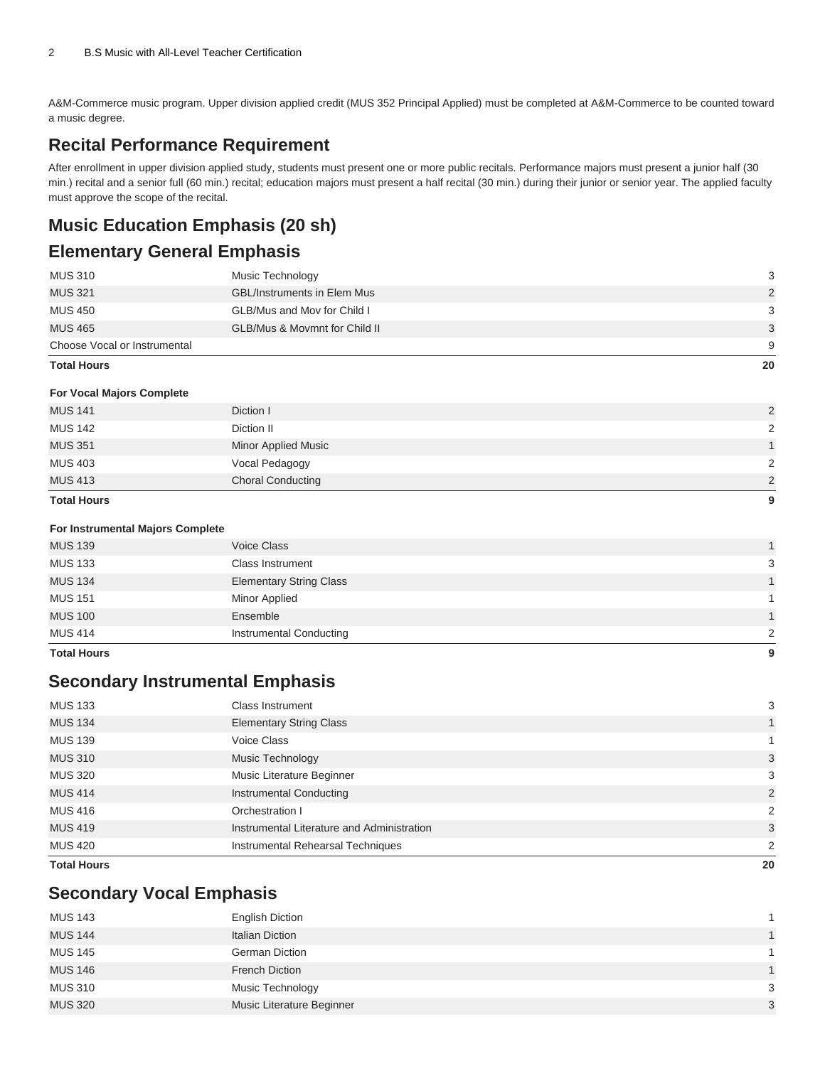A&M-Commerce music program. Upper division applied credit (MUS 352 Principal Applied) must be completed at A&M-Commerce to be counted toward a music degree.

### **Recital Performance Requirement**

After enrollment in upper division applied study, students must present one or more public recitals. Performance majors must present a junior half (30 min.) recital and a senior full (60 min.) recital; education majors must present a half recital (30 min.) during their junior or senior year. The applied faculty must approve the scope of the recital.

## **Music Education Emphasis (20 sh)**

### **Elementary General Emphasis**

| <b>Total Hours</b>           |                                          |               |
|------------------------------|------------------------------------------|---------------|
| Choose Vocal or Instrumental |                                          | 9             |
| <b>MUS 465</b>               | <b>GLB/Mus &amp; Movmnt for Child II</b> | 3             |
| <b>MUS 450</b>               | GLB/Mus and Mov for Child I              | 3             |
| <b>MUS 321</b>               | <b>GBL/Instruments in Elem Mus</b>       | $\mathcal{P}$ |
| <b>MUS 310</b>               | Music Technology                         | 3             |

### **For Vocal Majors Complete**

| <b>Total Hours</b> |                            | 9 |
|--------------------|----------------------------|---|
| <b>MUS 413</b>     | <b>Choral Conducting</b>   | 2 |
| <b>MUS 403</b>     | Vocal Pedagogy             | 2 |
| <b>MUS 351</b>     | <b>Minor Applied Music</b> |   |
| <b>MUS 142</b>     | Diction II                 | 2 |
| <b>MUS 141</b>     | Diction I                  | 2 |
|                    |                            |   |

### **For Instrumental Majors Complete**

| 9             |
|---------------|
| $\mathcal{P}$ |
| $\mathbf{1}$  |
|               |
| $\mathbf{1}$  |
| 3             |
| $\mathbf{1}$  |
|               |

### **Secondary Instrumental Emphasis**

| 20            |
|---------------|
| $\mathcal{P}$ |
| 3             |
| 2             |
| 2             |
| 3             |
| 3             |
|               |
| 1             |
| 3             |
|               |

### **Secondary Vocal Emphasis**

| <b>MUS 143</b> | <b>English Diction</b>    |                |
|----------------|---------------------------|----------------|
| <b>MUS 144</b> | Italian Diction           | $\mathbf{1}$   |
| <b>MUS 145</b> | <b>German Diction</b>     |                |
| <b>MUS 146</b> | French Diction            | $\overline{1}$ |
| <b>MUS 310</b> | Music Technology          | 3              |
| <b>MUS 320</b> | Music Literature Beginner | $\mathbf{3}$   |